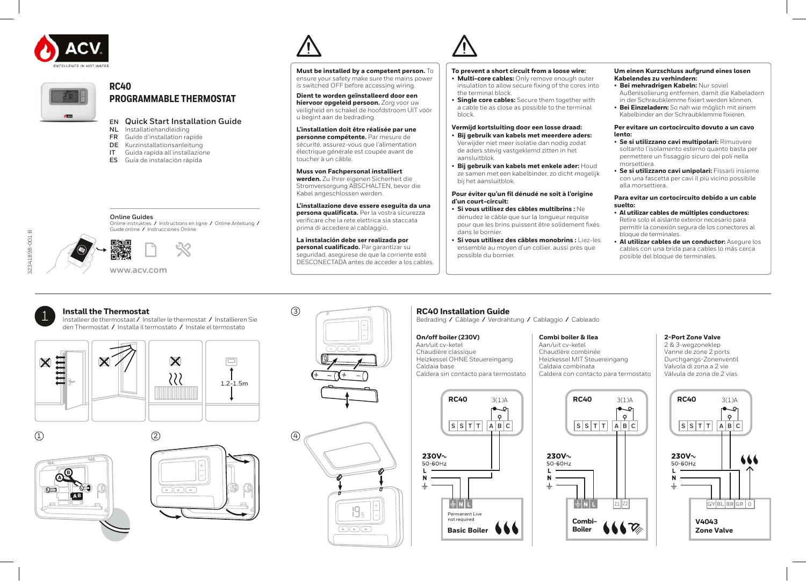



# **RC40 PROGRAMMABLE THERMOSTAT**

# **EN Quick Start Installation Guide**

- **NL** Installatiehandleiding<br>**FR** Guide d'installation rare
- **FR** Guide d'installation rapide
- **DE** Kurzinstallationsanleitung<br>**IT** Guida rapida all'installazion
- Guida rapida all'installazione
- **ES** Guía de instalación rápida

**Must be installed by a competent person.** To ensure your safety make sure the mains power is switched OFF before accessing wiring.

**Dient te worden geïnstalleerd door een hiervoor opgeleid persoon.** Zorg voor uw veiligheid en schakel de hoofdstroom UIT vóór u begint aan de bedrading.

#### **L'installation doit être réalisée par une personne compétente.** Par mesure de

sécurité, assurez-vous que l'alimentation électrique générale est coupée avant de toucher à un câble.

### **Muss von Fachpersonal installiert**

**werden.** Zu Ihrer eigenen Sicherheit die Stromversorgung ABSCHALTEN, bevor die Kabel angeschlossen werden.

#### **L'installazione deve essere eseguita da una persona qualificata.** Per la vostra sicurezza

verificare che la rete elettrica sia staccata prima di accedere al cablaggio.

#### **La instalación debe ser realizada por personal cualificado.** Par garantizar su seguridad, asegúrese de que la corriente esté DESCONECTADA antes de acceder a los cables.

### **To prevent a short circuit from a loose wire:**

- **Multi-core cables:** Only remove enough outer insulation to allow secure fixing of the cores into the terminal block.
- **Single core cables:** Secure them together with a cable tie as close as possible to the terminal block.

#### **Vermijd kortsluiting door een losse draad:** • **Bij gebruik van kabels met meerdere aders:**

- Verwijder niet meer isolatie dan nodig zodat de aders stevig vastgeklemd zitten in het aansluitblok.
- **Bij gebruik van kabels met enkele ader:** Houd ze samen met een kabelbinder, zo dicht mogelijk bij het aansluitblok.

#### **Pour éviter qu'un fil dénudé ne soit à l'origine d'un court-circuit:**

• **Si vous utilisez des câbles multibrins :** Ne dénudez le câble que sur la longueur requise pour que les brins puissent être solidement fixés dans le bornier.

• **Si vous utilisez des câbles monobrins :** Liez-les ensemble au moyen d'un collier, aussi près que possible du bornier.

#### **Um einen Kurzschluss aufgrund eines losen Kabelendes zu verhindern:**

- **Bei mehradrigen Kabeln:** Nur soviel Außenisolierung entfernen, damit die Kabeladern in der Schraubklemme fixiert werden können.
- **Bei Einzeladern:** So nah wie möglich mit einem Kabelbinder an der Schraubklemme fixieren.

#### **Per evitare un cortocircuito dovuto a un cavo lento:**

- **Se si utilizzano cavi multipolari:** Rimuovere soltanto l'isolamento esterno quanto basta per permettere un fissaggio sicuro dei poli nella morsettiera.
- **Se si utilizzano cavi unipolari:** Fissarli insieme con una fascetta per cavi il più vicino possibile alla morsettiera.

#### **Para evitar un cortocircuito debido a un cable suelto:**

- **Al utilizar cables de múltiples conductores:** Retire solo el aislante exterior necesario para permitir la conexión segura de los conectores al bloque de terminales.
- **Al utilizar cables de un conductor:** Asegure los cables con una brida para cables lo más cerca posible del bloque de terminales.



32341898-001 B

2341898-001 B

**www.acv.com**

#### Online instrukties **/** Instructions en ligne **/** Online Anleitung **/** Guide online **/** Instrucciones Online

**Online Guides**



1 **Install the Thermostat** Installeer de thermostaat **/** Installer le thermostat **/** Installieren Sie den Thermostat **/** Installa il termostato **/** Instale el termostato













 $\boxed{\begin{array}{c} \begin{array}{c} \begin{array}{c} \hline \end{array} \\ \hline \end{array}}$ 

3

#### **RC40 Installation Guide** Bedrading **/** Câblage **/** Verdrahtung **/** Cablaggio **/** Cableado

### **On/off boiler (230V)**

Aan/uit cv-ketel Chaudière classique Heizkessel OHNE Steuereingang Caldaia base Caldera sin contacto para termostato

# **Combi boiler & Ilea**

Aan/uit cv-ketel Chaudière combinée Heizkessel MIT Steuereingang Caldaia combinata Caldera con contacto para termostato

# **2-Port Zone Valve**

2 & 3-wegzoneklep Vanne de zone 2 ports Durchgangs-Zonenventil Valvola di zona a 2 vie Válvula de zona de 2 vias



 $\bullet$   $\circ$  $\circ$ **S S T T A B C S S T T A B C S S T T A B C** 230V~ 50-60Hz  $\mathbf{L}$ **Z1 Z2Combi-Boiler**